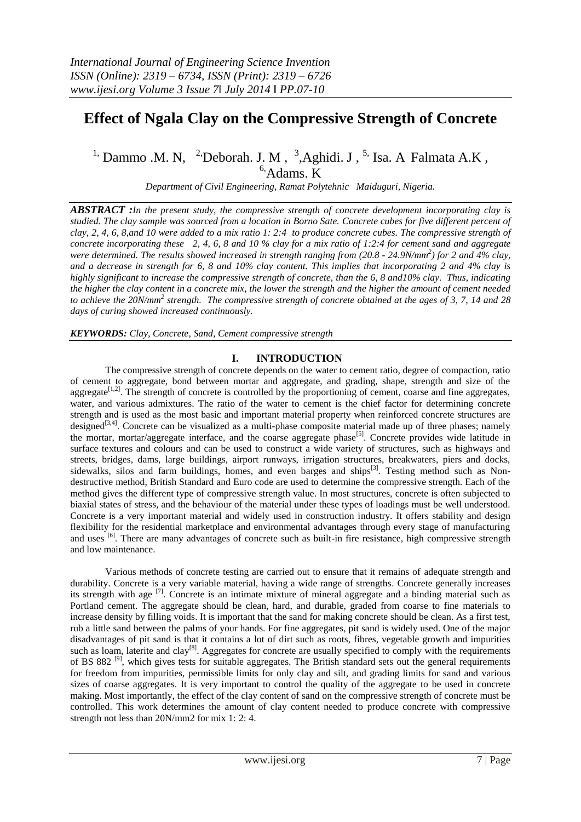# **Effect of Ngala Clay on the Compressive Strength of Concrete**

<sup>1,</sup> Dammo .M. N, <sup>2</sup><sup>,</sup>Deborah. J. M, <sup>3</sup>,Aghidi. J, <sup>5,</sup> Isa. A Falmata A.K,

 $6$ , Adams. K

*Department of Civil Engineering, Ramat Polytehnic Maiduguri, Nigeria.*

*ABSTRACT :In the present study, the compressive strength of concrete development incorporating clay is studied. The clay sample was sourced from a location in Borno Sate. Concrete cubes for five different percent of clay, 2, 4, 6, 8,and 10 were added to a mix ratio 1: 2:4 to produce concrete cubes. The compressive strength of concrete incorporating these 2, 4, 6, 8 and 10 % clay for a mix ratio of 1:2:4 for cement sand and aggregate were determined. The results showed increased in strength ranging from (20.8 - 24.9N/mm<sup>2</sup> ) for 2 and 4% clay, and a decrease in strength for 6, 8 and 10% clay content. This implies that incorporating 2 and 4% clay is highly significant to increase the compressive strength of concrete, than the 6, 8 and10% clay. Thus, indicating the higher the clay content in a concrete mix, the lower the strength and the higher the amount of cement needed to achieve the 20N/mm<sup>2</sup> strength. The compressive strength of concrete obtained at the ages of 3, 7, 14 and 28 days of curing showed increased continuously.*

*KEYWORDS: Clay, Concrete, Sand, Cement compressive strength*

#### **I. INTRODUCTION**

The compressive strength of concrete depends on the water to cement ratio, degree of compaction, ratio of cement to aggregate, bond between mortar and aggregate, and grading, shape, strength and size of the aggregate<sup>[1,2]</sup>. The strength of concrete is controlled by the proportioning of cement, coarse and fine aggregates, water, and various admixtures. The ratio of the water to cement is the chief factor for determining concrete strength and is used as the most basic and important material property when reinforced concrete structures are designed<sup>[3,4]</sup>. Concrete can be visualized as a multi-phase composite material made up of three phases; namely the mortar, mortar/aggregate interface, and the coarse aggregate phase<sup>[5]</sup>. Concrete provides wide latitude in surface textures and colours and can be used to construct a wide variety of structures, such as highways and streets, bridges, dams, large buildings, airport runways, irrigation structures, breakwaters, piers and docks, sidewalks, silos and farm buildings, homes, and even barges and ships<sup>[3]</sup>. Testing method such as Nondestructive method, British Standard and Euro code are used to determine the compressive strength. Each of the method gives the different type of compressive strength value. In most structures, concrete is often subjected to biaxial states of stress, and the behaviour of the material under these types of loadings must be well understood. Concrete is a very important material and widely used in construction industry. It offers stability and design flexibility for the residential marketplace and environmental advantages through every stage of manufacturing and uses <sup>[6]</sup>. There are many advantages of concrete such as built-in fire resistance, high compressive strength and low maintenance.

Various methods of concrete testing are carried out to ensure that it remains of adequate strength and durability. Concrete is a very variable material, having a wide range of strengths. Concrete generally increases its strength with age  $^{[7]}$ . Concrete is an intimate mixture of mineral aggregate and a binding material such as Portland cement. The aggregate should be clean, hard, and durable, graded from coarse to fine materials to increase density by filling voids. It is important that the sand for making concrete should be clean. As a first test, rub a little sand between the palms of your hands. For fine aggregates, pit sand is widely used. One of the major disadvantages of pit sand is that it contains a lot of dirt such as roots, fibres, vegetable growth and impurities such as loam, laterite and clay<sup>[8]</sup>. Aggregates for concrete are usually specified to comply with the requirements of BS 882<sup>[9]</sup>, which gives tests for suitable aggregates. The British standard sets out the general requirements for freedom from impurities, permissible limits for only clay and silt, and grading limits for sand and various sizes of coarse aggregates. It is very important to control the quality of the aggregate to be used in concrete making. Most importantly, the effect of the clay content of sand on the compressive strength of concrete must be controlled. This work determines the amount of clay content needed to produce concrete with compressive strength not less than 20N/mm2 for mix 1: 2: 4.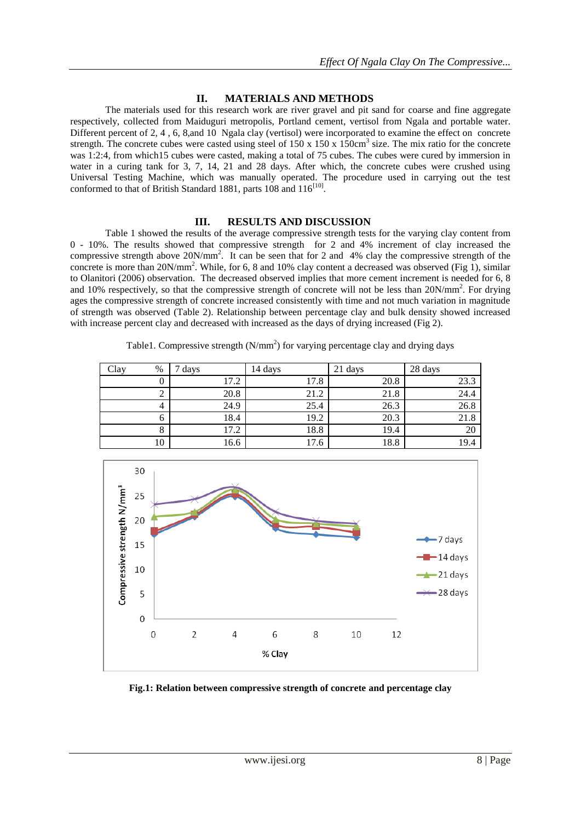## **II. MATERIALS AND METHODS**

The materials used for this research work are river gravel and pit sand for coarse and fine aggregate respectively, collected from Maiduguri metropolis, Portland cement, vertisol from Ngala and portable water. Different percent of 2, 4 , 6, 8,and 10 Ngala clay (vertisol) were incorporated to examine the effect on concrete strength. The concrete cubes were casted using steel of  $150 \times 150 \times 150 \text{ cm}^3$  size. The mix ratio for the concrete was 1:2:4, from which15 cubes were casted, making a total of 75 cubes. The cubes were cured by immersion in water in a curing tank for 3, 7, 14, 21 and 28 days. After which, the concrete cubes were crushed using Universal Testing Machine, which was manually operated. The procedure used in carrying out the test conformed to that of British Standard 1881, parts  $108$  and  $116^{[10]}$ .

### **III. RESULTS AND DISCUSSION**

Table 1 showed the results of the average compressive strength tests for the varying clay content from 0 - 10%. The results showed that compressive strength for 2 and 4% increment of clay increased the compressive strength above 20N/mm<sup>2</sup>. It can be seen that for 2 and 4% clay the compressive strength of the concrete is more than 20N/mm<sup>2</sup>. While, for 6, 8 and 10% clay content a decreased was observed (Fig 1), similar to Olanitori (2006) observation. The decreased observed implies that more cement increment is needed for 6, 8 and 10% respectively, so that the compressive strength of concrete will not be less than 20N/mm<sup>2</sup>. For drying ages the compressive strength of concrete increased consistently with time and not much variation in magnitude of strength was observed (Table 2). Relationship between percentage clay and bulk density showed increased with increase percent clay and decreased with increased as the days of drying increased (Fig 2).

| Clay<br>$\%$ | days | 14 days | 21 days | 28 days |
|--------------|------|---------|---------|---------|
|              | 17.2 | 17.8    | 20.8    | 23.3    |
| 2            | 20.8 | 21.2    | 21.8    | 24.4    |
| 4            | 24.9 | 25.4    | 26.3    | 26.8    |
| O            | 18.4 | 19.2    | 20.3    | 21.8    |
| 8            | 17.2 | 18.8    | 19.4    | 20      |
| 10           | 16.6 | 17.6    | 18.8    | 19.4    |

Table1. Compressive strength  $(N/mm<sup>2</sup>)$  for varying percentage clay and drying days



**Fig.1: Relation between compressive strength of concrete and percentage clay**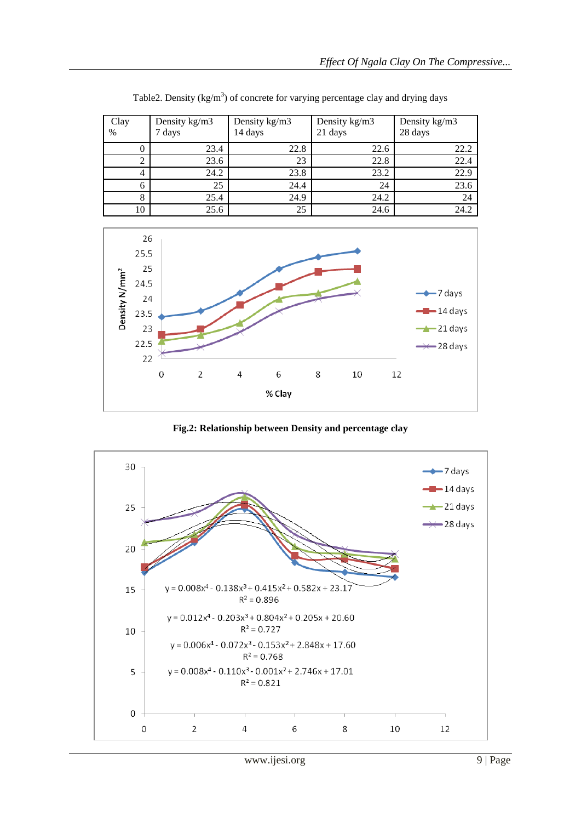| Clay<br>$\frac{0}{0}$ | Density kg/m3<br>7 days | Density kg/m3<br>14 days | Density kg/m3<br>21 days | Density kg/m3<br>28 days |
|-----------------------|-------------------------|--------------------------|--------------------------|--------------------------|
|                       | 23.4                    | 22.8                     | 22.6                     | 22.2                     |
| 2                     | 23.6                    | 23                       | 22.8                     | 22.4                     |
| 4                     | 24.2                    | 23.8                     | 23.2                     | 22.9                     |
| 6                     | 25                      | 24.4                     | 24                       | 23.6                     |
| 8                     | 25.4                    | 24.9                     | 24.2                     | 24                       |
| 10                    | 25.6                    | 25                       | 24.6                     | 24.2                     |

Table2. Density ( $kg/m<sup>3</sup>$ ) of concrete for varying percentage clay and drying days



**Fig.2: Relationship between Density and percentage clay**